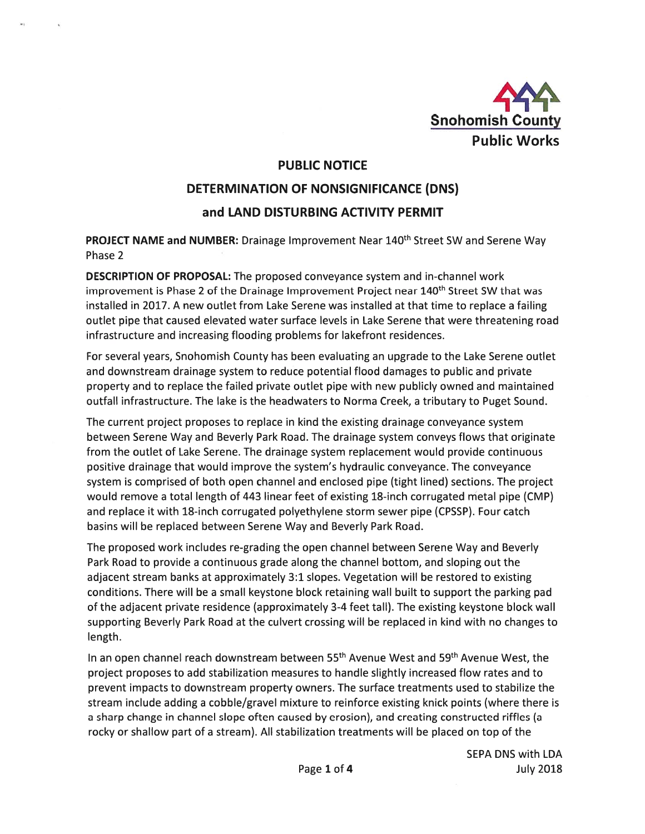

# PUBLIC NOTICE

# DETERMINATION OF NONSIGNIFICANCE (DNS) and LAND DISTURBING ACTIVITY PERMIT

PROJECT NAME and NUMBER: Drainage Improvement Near 140th Street SW and Serene Way Phase 2

DESCRIPTION OF PROPOSAL: The proposed conveyance system and in-channel work improvement is Phase 2 of the Drainage Improvement Project near 140<sup>th</sup> Street SW that was installed in 2017. A new outlet from Lake Serene was installed at that time to replace <sup>a</sup> failing outlet pipe that caused elevated water surface levels in Lake Serene that were threatening road infrastructure and increasing flooding problems for lakefront residences.

For several years, Snohomish County has been evaluating an upgrade to the Lake Serene outlet and downstream drainage system to reduce potential flood damages to public and private property and to replace the failed private outlet pipe with new publicly owned and maintained outfall infrastructure. The lake is the headwaters to Norma Creek, <sup>a</sup> tributary to Puget Sound.

The current project proposes to replace in kind the existing drainage conveyance system between Serene Way and Beverly Park Road. The drainage system conveys flows that originate from the outlet of Lake Serene. The drainage system replacement would provide continuous positive drainage that would improve the system's hydraulic conveyance. The conveyance system is comprised of both open channel and enclosed pipe (tight lined) sections. The project would remove <sup>a</sup> total length of 443 linear feet of existing 18-inch corrugated metal pipe (CMP) and replace it with 18-inch corrugated polyethylene storm sewer pipe (CPSSP). Four catch basins will be replaced between Serene Way and Beverly Park Road.

The proposed work includes re-grading the open channel between Serene Way and Beverly Park Road to provide <sup>a</sup> continuous grade along the channel bottom, and sloping out the adjacent stream banks at approximately 3:1 slopes. Vegetation will be restored to existing conditions. There will be <sup>a</sup> small keystone block retaining wall built to suppor<sup>t</sup> the parking pad of the adjacent private residence (approximately 3-4 feet tall). The existing keystone block wall supporting Beverly Park Road at the culvert crossing will be replaced in kind with no changes to length.

In an open channel reach downstream between 55<sup>th</sup> Avenue West and 59<sup>th</sup> Avenue West, the project proposes to add stabilization measures to handle slightly increased flow rates and to preven<sup>t</sup> impacts to downstream property owners. The surface treatments used to stabilize the stream include adding <sup>a</sup> cobble/gravel mixture to reinforce existing knick points (where there is <sup>a</sup> sharp change in channel slope often caused by erosion), and creating constructed riffles (a rocky or shallow par<sup>t</sup> of <sup>a</sup> stream). All stabilization treatments will be placed on top of the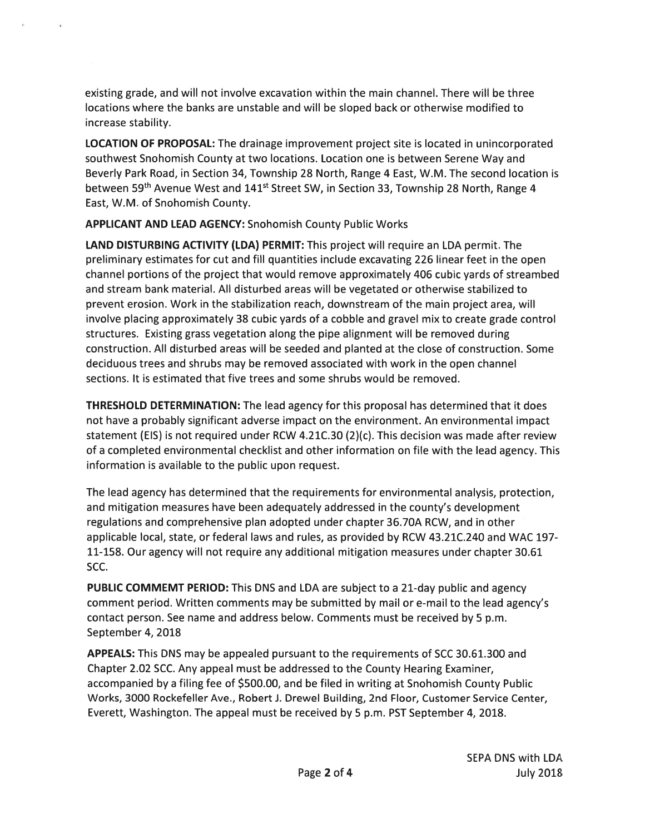existing grade, and will not involve excavation within the main channel. There will be three locations where the banks are unstable and will be sloped back or otherwise modified to increase stability.

LOCATION OF PROPOSAL: The drainage improvement project site is located in unincorporated southwest Snohomish County at two locations. Location one is between Serene Way and Beverly Park Road, in Section 34, Township 28 North, Range 4 East, W.M. The second location is between 59<sup>th</sup> Avenue West and 141<sup>st</sup> Street SW, in Section 33, Township 28 North, Range 4 East, W.M. of Snohomish County.

APPLICANT AND LEAD AGENCY: Snohomish County Public Works

LAND DISTURBING ACTIVITY (LDA) PERMIT: This project will require an LDA permit. The preliminary estimates for cut and fill quantities include excavating 226 linear feet in the open channel portions of the project that would remove approximately 406 cubic yards of streambed and stream bank material. All disturbed areas will be vegetated or otherwise stabilized to preven<sup>t</sup> erosion. Work in the stabilization reach, downstream of the main project area, will involve placing approximately 38 cubic yards of <sup>a</sup> cobble and gravel mix to create grade control structures. Existing grass vegetation along the pipe alignment will be removed during construction. All disturbed areas will be seeded and planted at the close of construction. Some deciduous trees and shrubs may be removed associated with work in the open channel sections. It is estimated that five trees and some shrubs would be removed.

THRESHOLD DETERMINATION: The lead agency for this proposal has determined that it does not have <sup>a</sup> probably significant adverse impact on the environment. An environmental impact statement (EIS) is not required under RCW 4.21C.30 (2)(c). This decision was made after review of <sup>a</sup> completed environmental checklist and other information on file with the lead agency. This information is available to the public upon request.

The lead agency has determined that the requirements for environmental analysis, protection, and mitigation measures have been adequately addressed in the county's development regulations and comprehensive plan adopted under chapter 36.70A RCW, and in other applicable local, state, or federal laws and rules, as provided by RCW 43.21C.240 and WAC 197- 11-158. Our agency will not require any additional mitigation measures under chapter 30.61 SCC.

PUBLIC COMMEMT PERIOD: This DNS and LDA are subject to a 21-day public and agency comment period. Written comments may be submitted by mail or e-mail to the lead agency's contact person. See name and address below. Comments must be received by 5 p.m. September 4, 2018

APPEALS: This DNS may be appealed pursuan<sup>t</sup> to the requirements of 5CC 30.61.300 and Chapter 2.02 SCC. Any appeal must be addressed to the County Hearing Examiner, accompanied by <sup>a</sup> filing fee of \$500.00, and be filed in writing at Snohomish County Public Works, 3000 Rockefeller Ave., Robert J. Drewel Building, 2nd Floor, Customer Service Center, Everett, Washington. The appeal must be received by 5 p.m. PST September 4, 2018.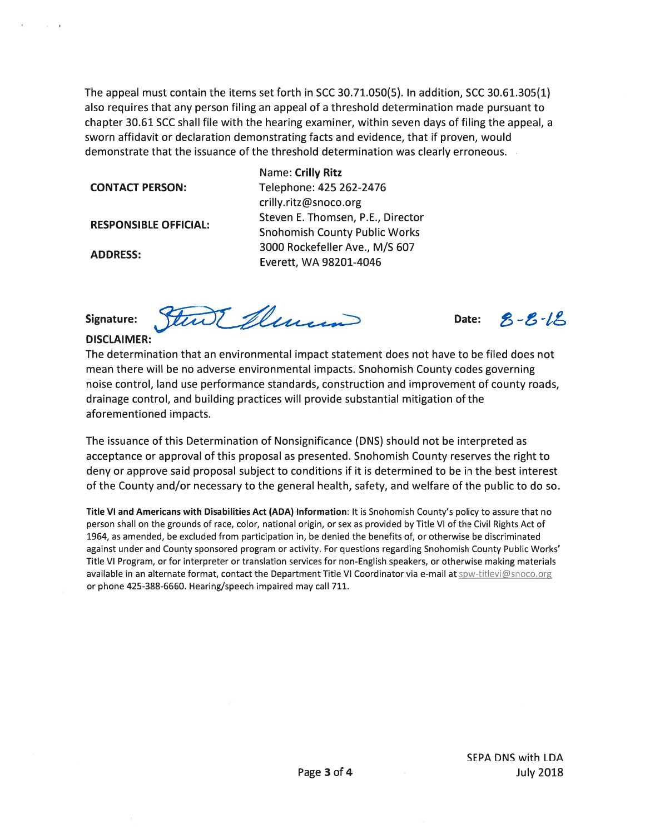The appeal must contain the items set forth in 5CC 30.71.050(5). In addition, 5CC 30.61.305(1) also requires that any person filing an appeal of <sup>a</sup> threshold determination made pursuan<sup>t</sup> to chapter 30.61 5CC shall file with the hearing examiner, within seven days of filing the appeal, <sup>a</sup> sworn affidavit or declaration demonstrating facts and evidence, that if proven, would demonstrate that the issuance of the threshold determination was clearly erroneous.

Name: Crilly Ritz CONTACT PERSON: Telephone: 425 262-2476 crilly.ritz@snoco.org RESPONSIBLE OFFICIAL: Steven E. Thomsen, P.E., Director<br>Snohomish County Public Works ADDRESS <sup>3000</sup> Rockefeller Ave., M/S <sup>607</sup> Everett, WA 98201-4046

Signature: Sturt Murrin Date:

DISCLAIMER:

The determination that an environmental impact statement does not have to be filed does not mean there will be no adverse environmental impacts. Snohomish County codes governing noise control, land use performance standards, construction and improvement of county roads, drainage control, and building practices will provide substantial mitigation of the aforementioned impacts.

The issuance of this Determination of Nonsignificance (DNS) should not be interpreted as acceptance or approval of this proposal as presented. Snohomish County reserves the right to deny or approve said proposal subject to conditions if it is determined to be in the best interest of the County and/or necessary to the general health, safety, and welfare of the public to do so.

Title VI and Americans with Disabilities Act (ADA) Information: It is Snohomish County's policy to assure that no person shall on the grounds of race, color, national origin, or sex as provided by Title VI of the Civil Rights Act of 1964, as amended, be excluded from participation in, be denied the benefits of, or otherwise be discriminated against under and County sponsored program or activity. For questions regarding Snohomish County Public Works' Title VI Program, or for interpreter or translation services for non-English speakers, or otherwise making materials available in an alternate format, contact the Department Title VI Coordinator via e-mail at *spw-titlevi@snoco.org* or phone 425-388-6660. Hearing/speech impaired may call 711.

 $8 - 5 - 16$